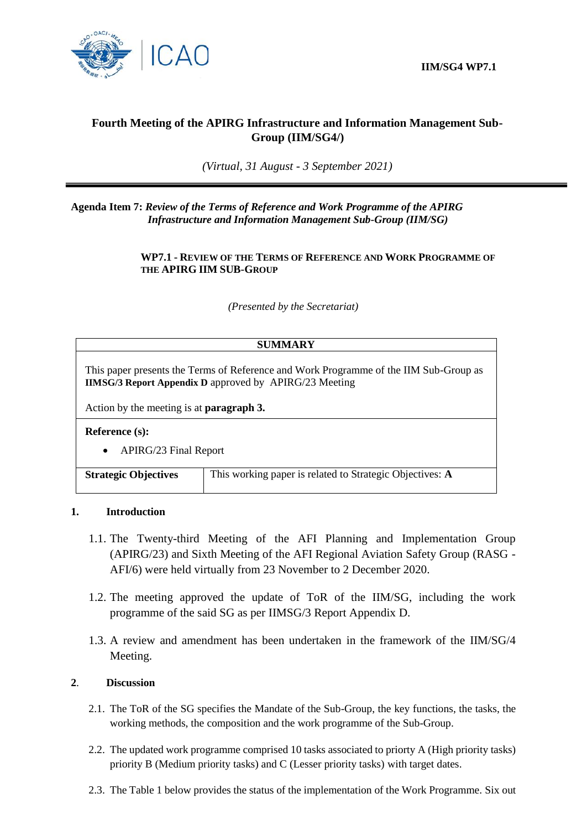

# **Fourth Meeting of the APIRG Infrastructure and Information Management Sub-Group (IIM/SG4/)**

*(Virtual, 31 August - 3 September 2021)*

**Agenda Item 7:** *Review of the Terms of Reference and Work Programme of the APIRG Infrastructure and Information Management Sub-Group (IIM/SG)*

#### **WP7.1 - REVIEW OF THE TERMS OF REFERENCE AND WORK PROGRAMME OF THE APIRG IIM SUB-GROUP**

*(Presented by the Secretariat)*

### **SUMMARY**

This paper presents the Terms of Reference and Work Programme of the IIM Sub-Group as **IIMSG/3 Report Appendix D** approved by APIRG/23 Meeting

Action by the meeting is at **paragraph 3.**

**Reference (s):**

APIRG/23 Final Report

| <b>Strategic Objectives</b> | This working paper is related to Strategic Objectives: A |
|-----------------------------|----------------------------------------------------------|
|-----------------------------|----------------------------------------------------------|

#### **1. Introduction**

- 1.1. The Twenty-third Meeting of the AFI Planning and Implementation Group (APIRG/23) and Sixth Meeting of the AFI Regional Aviation Safety Group (RASG - AFI/6) were held virtually from 23 November to 2 December 2020.
- 1.2. The meeting approved the update of ToR of the IIM/SG, including the work programme of the said SG as per IIMSG/3 Report Appendix D.
- 1.3. A review and amendment has been undertaken in the framework of the IIM/SG/4 Meeting.

### **2**. **Discussion**

- 2.1. The ToR of the SG specifies the Mandate of the Sub-Group, the key functions, the tasks, the working methods, the composition and the work programme of the Sub-Group.
- 2.2. The updated work programme comprised 10 tasks associated to priorty A (High priority tasks) priority B (Medium priority tasks) and C (Lesser priority tasks) with target dates.
- 2.3. The Table 1 below provides the status of the implementation of the Work Programme. Six out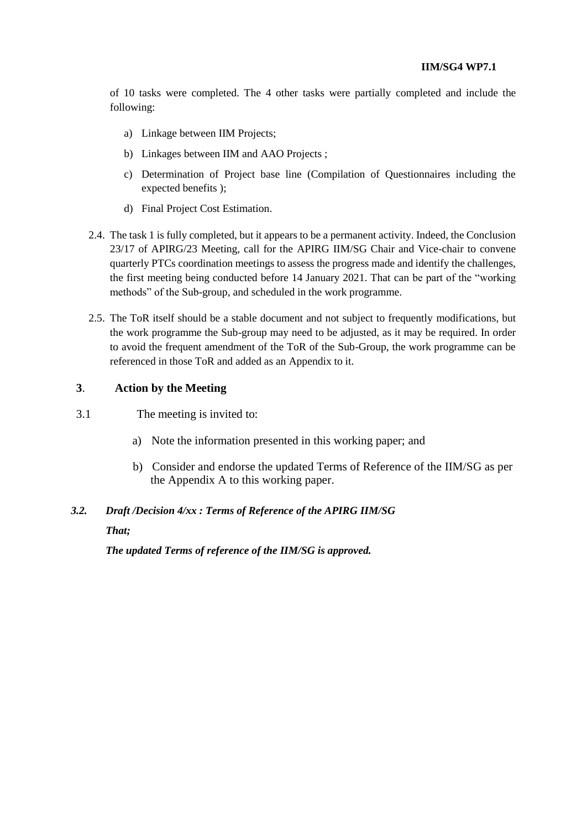of 10 tasks were completed. The 4 other tasks were partially completed and include the following:

- a) Linkage between IIM Projects;
- b) Linkages between IIM and AAO Projects ;
- c) Determination of Project base line (Compilation of Questionnaires including the expected benefits );
- d) Final Project Cost Estimation.
- 2.4. The task 1 is fully completed, but it appears to be a permanent activity. Indeed, the Conclusion 23/17 of APIRG/23 Meeting, call for the APIRG IIM/SG Chair and Vice-chair to convene quarterly PTCs coordination meetings to assess the progress made and identify the challenges, the first meeting being conducted before 14 January 2021. That can be part of the "working methods" of the Sub-group, and scheduled in the work programme.
- 2.5. The ToR itself should be a stable document and not subject to frequently modifications, but the work programme the Sub-group may need to be adjusted, as it may be required. In order to avoid the frequent amendment of the ToR of the Sub-Group, the work programme can be referenced in those ToR and added as an Appendix to it.

### **3**. **Action by the Meeting**

- 3.1 The meeting is invited to:
	- a) Note the information presented in this working paper; and
	- b) Consider and endorse the updated Terms of Reference of the IIM/SG as per the Appendix A to this working paper.

#### *3.2. Draft /Decision 4/xx : Terms of Reference of the APIRG IIM/SG*

*That;*

*The updated Terms of reference of the IIM/SG is approved.*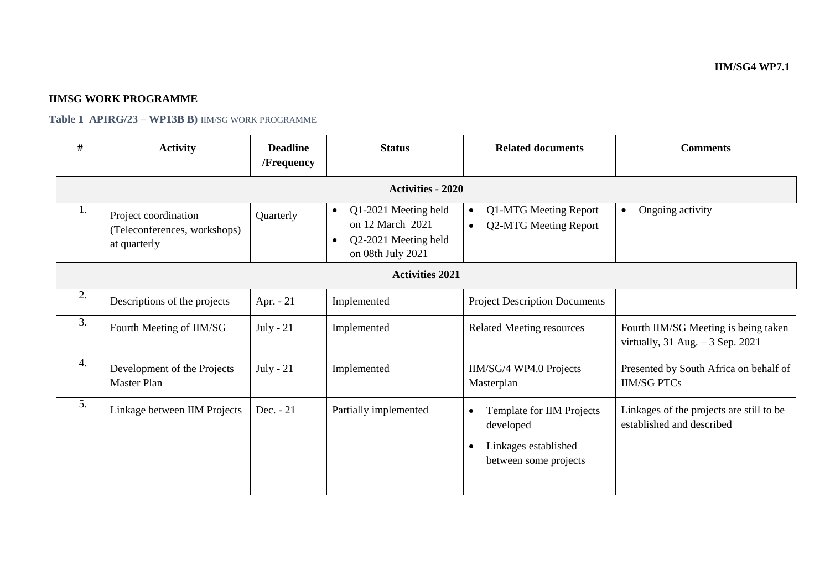## **IIMSG WORK PROGRAMME**

**Table 1 APIRG/23 – WP13B B)** IIM/SG WORK PROGRAMME

| #                        | <b>Activity</b>                                                      | <b>Deadline</b><br><b>/Frequency</b> | <b>Status</b>                                                                                      | <b>Related documents</b>                                                                             | <b>Comments</b>                                                             |  |  |  |  |
|--------------------------|----------------------------------------------------------------------|--------------------------------------|----------------------------------------------------------------------------------------------------|------------------------------------------------------------------------------------------------------|-----------------------------------------------------------------------------|--|--|--|--|
| <b>Activities - 2020</b> |                                                                      |                                      |                                                                                                    |                                                                                                      |                                                                             |  |  |  |  |
| 1.                       | Project coordination<br>(Teleconferences, workshops)<br>at quarterly | Quarterly                            | Q1-2021 Meeting held<br>$\bullet$<br>on 12 March 2021<br>Q2-2021 Meeting held<br>on 08th July 2021 | Q1-MTG Meeting Report<br>$\bullet$<br>Q2-MTG Meeting Report<br>$\bullet$                             | Ongoing activity<br>$\bullet$                                               |  |  |  |  |
| <b>Activities 2021</b>   |                                                                      |                                      |                                                                                                    |                                                                                                      |                                                                             |  |  |  |  |
| 2.                       | Descriptions of the projects                                         | Apr. $-21$                           | Implemented                                                                                        | <b>Project Description Documents</b>                                                                 |                                                                             |  |  |  |  |
| 3.                       | Fourth Meeting of IIM/SG                                             | July - $21$                          | Implemented                                                                                        | <b>Related Meeting resources</b>                                                                     | Fourth IIM/SG Meeting is being taken<br>virtually, $31$ Aug. $-3$ Sep. 2021 |  |  |  |  |
| 4.                       | Development of the Projects<br><b>Master Plan</b>                    | July - $21$                          | Implemented                                                                                        | IIM/SG/4 WP4.0 Projects<br>Masterplan                                                                | Presented by South Africa on behalf of<br><b>IIM/SG PTCs</b>                |  |  |  |  |
| 5.                       | Linkage between IIM Projects                                         | Dec. - 21                            | Partially implemented                                                                              | Template for IIM Projects<br>$\bullet$<br>developed<br>Linkages established<br>between some projects | Linkages of the projects are still to be<br>established and described       |  |  |  |  |